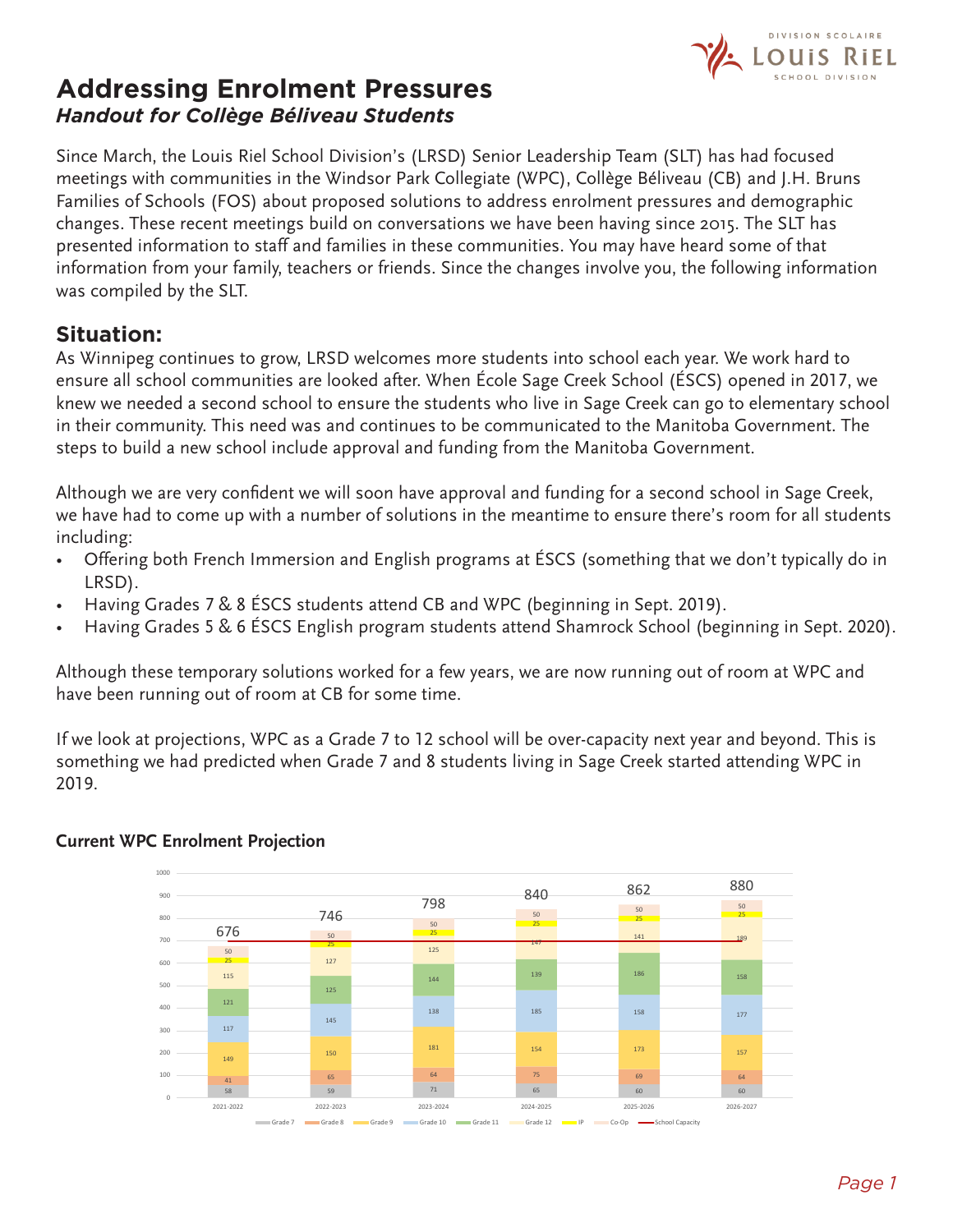

# **Addressing Enrolment Pressures** *Handout for Collège Béliveau Students*

Since March, the Louis Riel School Division's (LRSD) Senior Leadership Team (SLT) has had focused meetings with communities in the Windsor Park Collegiate (WPC), Collège Béliveau (CB) and J.H. Bruns Families of Schools (FOS) about proposed solutions to address enrolment pressures and demographic changes. These recent meetings build on conversations we have been having since 2015. The SLT has presented information to staff and families in these communities. You may have heard some of that information from your family, teachers or friends. Since the changes involve you, the following information was compiled by the SLT.

## **Situation:**

As Winnipeg continues to grow, LRSD welcomes more students into school each year. We work hard to ensure all school communities are looked after. When École Sage Creek School (ÉSCS) opened in 2017, we knew we needed a second school to ensure the students who live in Sage Creek can go to elementary school in their community. This need was and continues to be communicated to the Manitoba Government. The steps to build a new school include approval and funding from the Manitoba Government.

Although we are very confident we will soon have approval and funding for a second school in Sage Creek, we have had to come up with a number of solutions in the meantime to ensure there's room for all students including:

- Offering both French Immersion and English programs at ÉSCS (something that we don't typically do in LRSD).
- Having Grades 7 & 8 ÉSCS students attend CB and WPC (beginning in Sept. 2019).
- Having Grades 5 & 6 ÉSCS English program students attend Shamrock School (beginning in Sept. 2020).

Although these temporary solutions worked for a few years, we are now running out of room at WPC and have been running out of room at CB for some time.

If we look at projections, WPC as a Grade 7 to 12 school will be over-capacity next year and beyond. This is something we had predicted when Grade 7 and 8 students living in Sage Creek started attending WPC in 2019.



#### **Current WPC Enrolment Projection**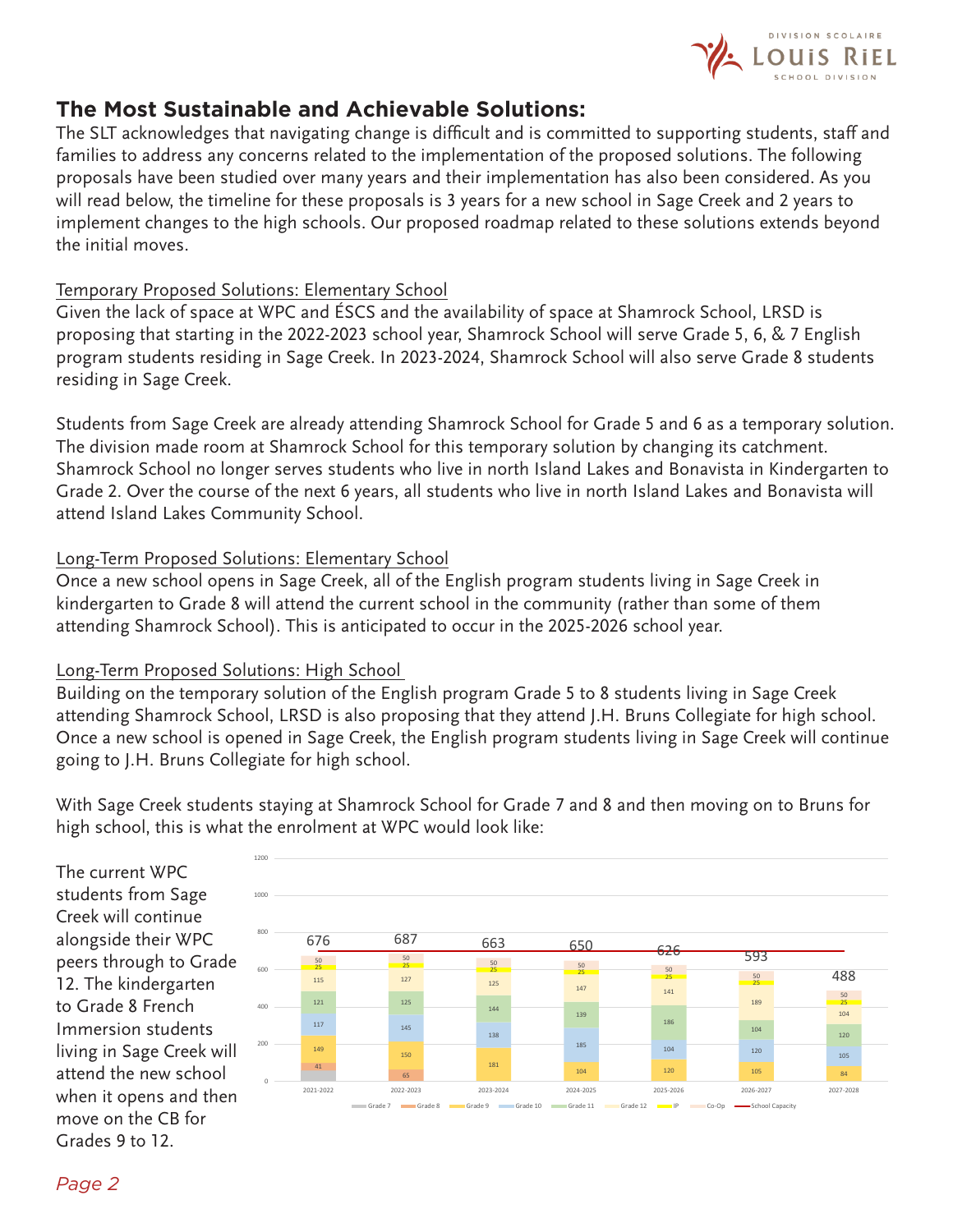

## **The Most Sustainable and Achievable Solutions:**

The SLT acknowledges that navigating change is difficult and is committed to supporting students, staff and families to address any concerns related to the implementation of the proposed solutions. The following proposals have been studied over many years and their implementation has also been considered. As you will read below, the timeline for these proposals is 3 years for a new school in Sage Creek and 2 years to implement changes to the high schools. Our proposed roadmap related to these solutions extends beyond the initial moves.

#### Temporary Proposed Solutions: Elementary School

Given the lack of space at WPC and ÉSCS and the availability of space at Shamrock School, LRSD is proposing that starting in the 2022-2023 school year, Shamrock School will serve Grade 5, 6, & 7 English program students residing in Sage Creek. In 2023-2024, Shamrock School will also serve Grade 8 students residing in Sage Creek.

Students from Sage Creek are already attending Shamrock School for Grade 5 and 6 as a temporary solution. The division made room at Shamrock School for this temporary solution by changing its catchment. Shamrock School no longer serves students who live in north Island Lakes and Bonavista in Kindergarten to Grade 2. Over the course of the next 6 years, all students who live in north Island Lakes and Bonavista will attend Island Lakes Community School.

#### Long-Term Proposed Solutions: Elementary School

Once a new school opens in Sage Creek, all of the English program students living in Sage Creek in kindergarten to Grade 8 will attend the current school in the community (rather than some of them attending Shamrock School). This is anticipated to occur in the 2025-2026 school year.

#### Long-Term Proposed Solutions: High School

Building on the temporary solution of the English program Grade 5 to 8 students living in Sage Creek attending Shamrock School, LRSD is also proposing that they attend J.H. Bruns Collegiate for high school. Once a new school is opened in Sage Creek, the English program students living in Sage Creek will continue going to J.H. Bruns Collegiate for high school.

With Sage Creek students staying at Shamrock School for Grade 7 and 8 and then moving on to Bruns for high school, this is what the enrolment at WPC would look like:

The current WPC students from Sage Creek will continue alongside their WPC peers through to Grade 12. The kindergarten to Grade 8 French Immersion students living in Sage Creek will attend the new school when it opens and then move on the CB for Grades 9 to 12.

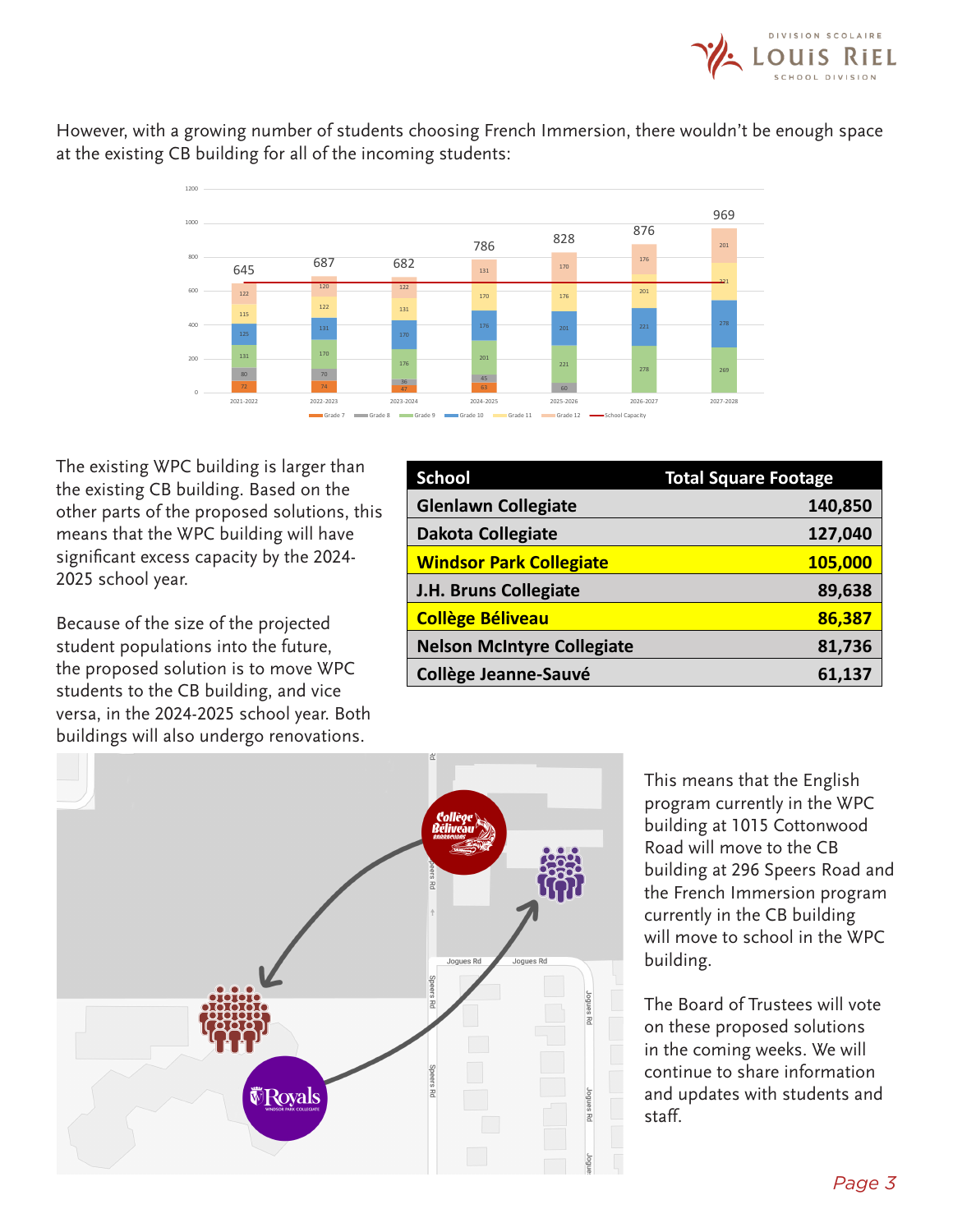

However, with a growing number of students choosing French Immersion, there wouldn't be enough space at the existing CB building for all of the incoming students:



The existing WPC building is larger than the existing CB building. Based on the other parts of the proposed solutions, this means that the WPC building will have significant excess capacity by the 2024- 2025 school year.

Because of the size of the projected student populations into the future, the proposed solution is to move WPC students to the CB building, and vice versa, in the 2024-2025 school year. Both buildings will also undergo renovations.

| <b>School</b>                     | <b>Total Square Footage</b> |
|-----------------------------------|-----------------------------|
| <b>Glenlawn Collegiate</b>        | 140,850                     |
| <b>Dakota Collegiate</b>          | 127,040                     |
| <b>Windsor Park Collegiate</b>    | 105,000                     |
| J.H. Bruns Collegiate             | 89,638                      |
| <b>Collège Béliveau</b>           | 86,387                      |
| <b>Nelson McIntyre Collegiate</b> | 81,736                      |
| <b>Collège Jeanne-Sauvé</b>       | 61,137                      |



This means that the English program currently in the WPC building at 1015 Cottonwood Road will move to the CB building at 296 Speers Road and the French Immersion program currently in the CB building will move to school in the WPC building.

The Board of Trustees will vote on these proposed solutions in the coming weeks. We will continue to share information and updates with students and staff.